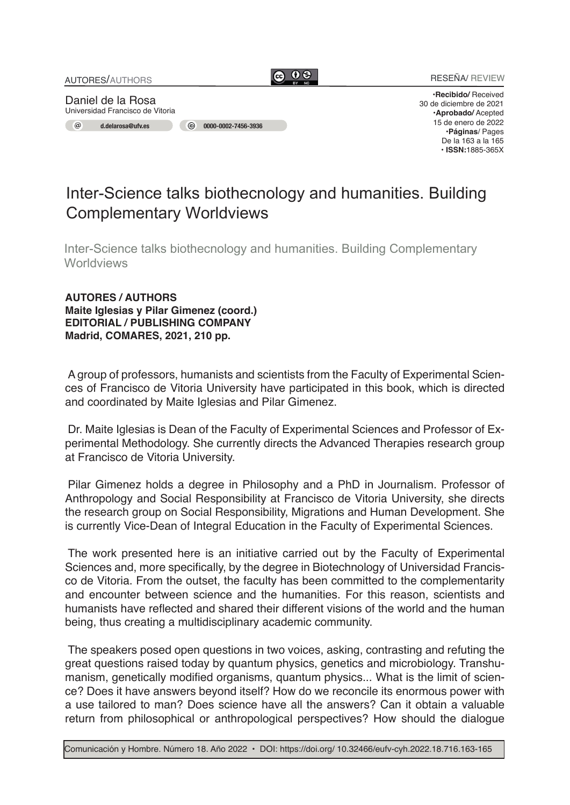

**•Recibido/** Received 30 de diciembre de 2021 **•Aprobado/** Acepted 15 de enero de 2022 •**Páginas**/ Pages De la 163 a la 165 **• ISSN:**1885-365X

## Inter-Science talks biothecnology and humanities. Building Complementary Worldviews

Inter-Science talks biothecnology and humanities. Building Complementary **Worldviews** 

**AUTORES / AUTHORS Maite Iglesias y Pilar Gimenez (coord.) EDITORIAL / PUBLISHING COMPANY Madrid, COMARES, 2021, 210 pp.**

A group of professors, humanists and scientists from the Faculty of Experimental Sciences of Francisco de Vitoria University have participated in this book, which is directed and coordinated by Maite Iglesias and Pilar Gimenez.

Dr. Maite Iglesias is Dean of the Faculty of Experimental Sciences and Professor of Experimental Methodology. She currently directs the Advanced Therapies research group at Francisco de Vitoria University.

Pilar Gimenez holds a degree in Philosophy and a PhD in Journalism. Professor of Anthropology and Social Responsibility at Francisco de Vitoria University, she directs the research group on Social Responsibility, Migrations and Human Development. She is currently Vice-Dean of Integral Education in the Faculty of Experimental Sciences.

The work presented here is an initiative carried out by the Faculty of Experimental Sciences and, more specifically, by the degree in Biotechnology of Universidad Francisco de Vitoria. From the outset, the faculty has been committed to the complementarity and encounter between science and the humanities. For this reason, scientists and humanists have reflected and shared their different visions of the world and the human being, thus creating a multidisciplinary academic community.

The speakers posed open questions in two voices, asking, contrasting and refuting the great questions raised today by quantum physics, genetics and microbiology. Transhumanism, genetically modified organisms, quantum physics... What is the limit of science? Does it have answers beyond itself? How do we reconcile its enormous power with a use tailored to man? Does science have all the answers? Can it obtain a valuable return from philosophical or anthropological perspectives? How should the dialogue